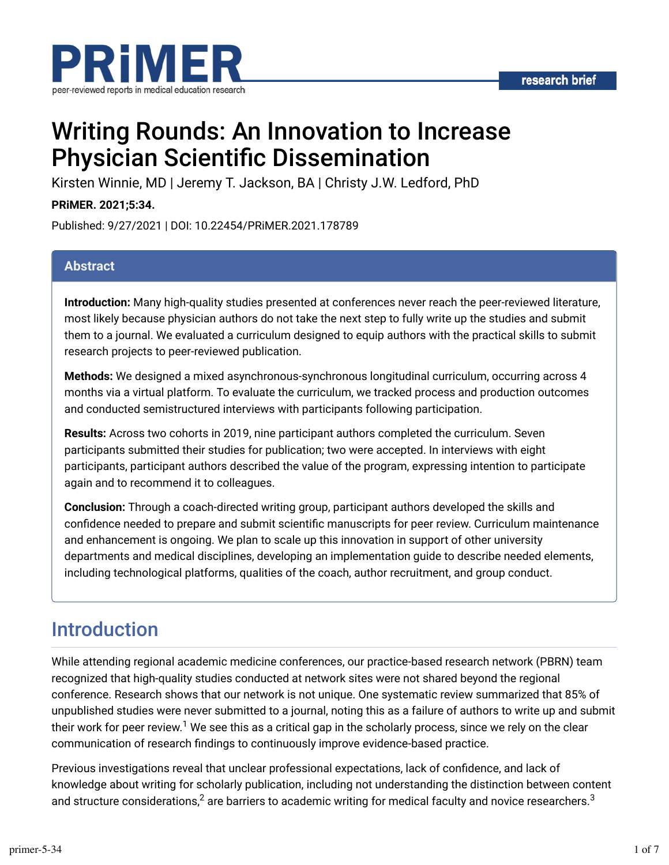

# Writing Rounds: An Innovation to Increase **Physician Scientific Dissemination**

Kirsten Winnie, MD | Jeremy T. Jackson, BA | Christy J.W. Ledford, PhD

**PRiMER. 2021;5:34.**

Published: 9/27/2021 | DOI: 10.22454/PRiMER.2021.178789

#### **Abstract**

**Introduction:** Many high-quality studies presented at conferences never reach the peer-reviewed literature, most likely because physician authors do not take the next step to fully write up the studies and submit them to a journal. We evaluated a curriculum designed to equip authors with the practical skills to submit research projects to peer-reviewed publication.

**Methods:** We designed a mixed asynchronous-synchronous longitudinal curriculum, occurring across 4 months via a virtual platform. To evaluate the curriculum, we tracked process and production outcomes and conducted semistructured interviews with participants following participation.

**Results:** Across two cohorts in 2019, nine participant authors completed the curriculum. Seven participants submitted their studies for publication; two were accepted. In interviews with eight participants, participant authors described the value of the program, expressing intention to participate again and to recommend it to colleagues.

**Conclusion:** Through a coach-directed writing group, participant authors developed the skills and confidence needed to prepare and submit scientific manuscripts for peer review. Curriculum maintenance and enhancement is ongoing. We plan to scale up this innovation in support of other university departments and medical disciplines, developing an implementation guide to describe needed elements, including technological platforms, qualities of the coach, author recruitment, and group conduct.

## Introduction

While attending regional academic medicine conferences, our practice-based research network (PBRN) team recognized that high-quality studies conducted at network sites were not shared beyond the regional conference. Research shows that our network is not unique. One systematic review summarized that 85% of unpublished studies were never submitted to a journal, noting this as a failure of authors to write up and submit their work for peer review.<sup>1</sup> We see this as a critical gap in the scholarly process, since we rely on the clear communication of research findings to continuously improve evidence-based practice.

Previous investigations reveal that unclear professional expectations, lack of confidence, and lack of knowledge about writing for scholarly publication, including not understanding the distinction between content and structure considerations, $^2$  are barriers to academic writing for medical faculty and novice researchers. $^3$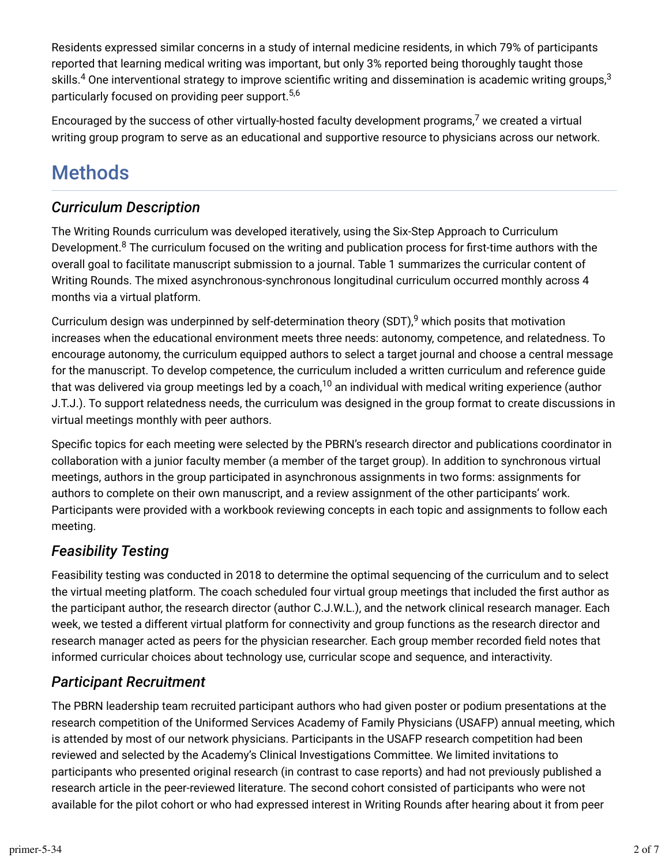Residents expressed similar concerns in a study of internal medicine residents, in which 79% of participants reported that learning medical writing was important, but only 3% reported being thoroughly taught those skills. $^4$  One interventional strategy to improve scientific writing and dissemination is academic writing groups, $^3$ particularly focused on providing peer support. 5,6

Encouraged by the success of other virtually-hosted faculty development programs, $7$  we created a virtual writing group program to serve as an educational and supportive resource to physicians across our network.

## Methods

## *Curriculum Description*

The Writing Rounds curriculum was developed iteratively, using the Six-Step Approach to Curriculum Development. $^8$  The curriculum focused on the writing and publication process for first-time authors with the overall goal to facilitate manuscript submission to a journal. Table 1 summarizes the curricular content of Writing Rounds. The mixed asynchronous-synchronous longitudinal curriculum occurred monthly across 4 months via a virtual platform.

Curriculum design was underpinned by self-determination theory (SDT), $^9$  which posits that motivation increases when the educational environment meets three needs: autonomy, competence, and relatedness. To encourage autonomy, the curriculum equipped authors to select a target journal and choose a central message for the manuscript. To develop competence, the curriculum included a written curriculum and reference guide that was delivered via group meetings led by a coach, $^{10}$  an individual with medical writing experience (author J.T.J.). To support relatedness needs, the curriculum was designed in the group format to create discussions in virtual meetings monthly with peer authors.

Specific topics for each meeting were selected by the PBRN's research director and publications coordinator in collaboration with a junior faculty member (a member of the target group). In addition to synchronous virtual meetings, authors in the group participated in asynchronous assignments in two forms: assignments for authors to complete on their own manuscript, and a review assignment of the other participants' work. Participants were provided with a workbook reviewing concepts in each topic and assignments to follow each meeting.

## *Feasibility Testing*

Feasibility testing was conducted in 2018 to determine the optimal sequencing of the curriculum and to select the virtual meeting platform. The coach scheduled four virtual group meetings that included the first author as the participant author, the research director (author C.J.W.L.), and the network clinical research manager. Each week, we tested a different virtual platform for connectivity and group functions as the research director and research manager acted as peers for the physician researcher. Each group member recorded field notes that informed curricular choices about technology use, curricular scope and sequence, and interactivity.

## *Participant Recruitment*

The PBRN leadership team recruited participant authors who had given poster or podium presentations at the research competition of the Uniformed Services Academy of Family Physicians (USAFP) annual meeting, which is attended by most of our network physicians. Participants in the USAFP research competition had been reviewed and selected by the Academy's Clinical Investigations Committee. We limited invitations to participants who presented original research (in contrast to case reports) and had not previously published a research article in the peer-reviewed literature. The second cohort consisted of participants who were not available for the pilot cohort or who had expressed interest in Writing Rounds after hearing about it from peer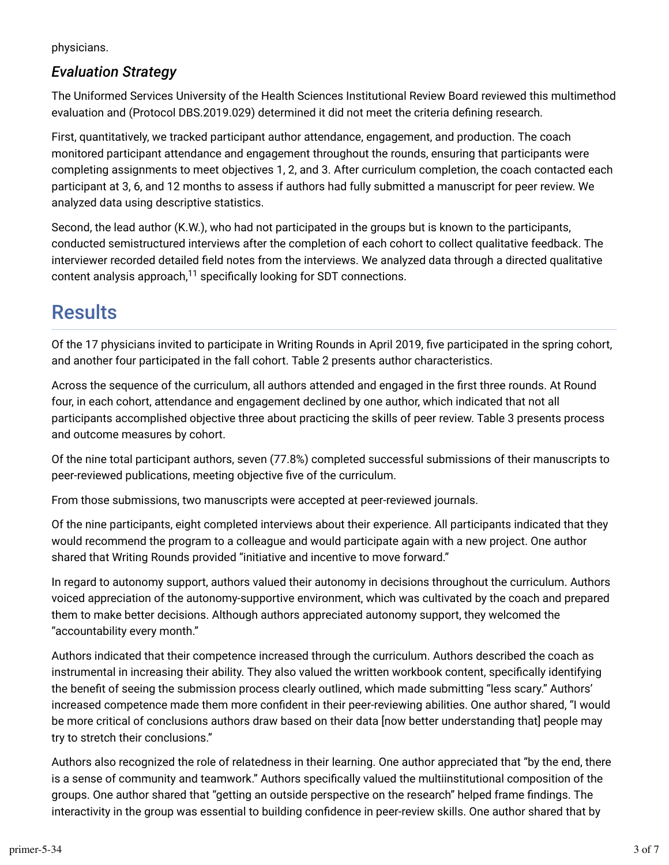physicians.

### *Evaluation Strategy*

The Uniformed Services University of the Health Sciences Institutional Review Board reviewed this multimethod evaluation and (Protocol DBS.2019.029) determined it did not meet the criteria defining research.

First, quantitatively, we tracked participant author attendance, engagement, and production. The coach monitored participant attendance and engagement throughout the rounds, ensuring that participants were completing assignments to meet objectives 1, 2, and 3. After curriculum completion, the coach contacted each participant at 3, 6, and 12 months to assess if authors had fully submitted a manuscript for peer review. We analyzed data using descriptive statistics.

Second, the lead author (K.W.), who had not participated in the groups but is known to the participants, conducted semistructured interviews after the completion of each cohort to collect qualitative feedback. The interviewer recorded detailed field notes from the interviews. We analyzed data through a directed qualitative content analysis approach, $^{11}$  specifically looking for SDT connections.

# **Results**

Of the 17 physicians invited to participate in Writing Rounds in April 2019, five participated in the spring cohort, and another four participated in the fall cohort. Table 2 presents author characteristics.

Across the sequence of the curriculum, all authors attended and engaged in the first three rounds. At Round four, in each cohort, attendance and engagement declined by one author, which indicated that not all participants accomplished objective three about practicing the skills of peer review. Table 3 presents process and outcome measures by cohort.

Of the nine total participant authors, seven (77.8%) completed successful submissions of their manuscripts to peer-reviewed publications, meeting objective five of the curriculum.

From those submissions, two manuscripts were accepted at peer-reviewed journals.

Of the nine participants, eight completed interviews about their experience. All participants indicated that they would recommend the program to a colleague and would participate again with a new project. One author shared that Writing Rounds provided "initiative and incentive to move forward."

In regard to autonomy support, authors valued their autonomy in decisions throughout the curriculum. Authors voiced appreciation of the autonomy-supportive environment, which was cultivated by the coach and prepared them to make better decisions. Although authors appreciated autonomy support, they welcomed the "accountability every month."

Authors indicated that their competence increased through the curriculum. Authors described the coach as instrumental in increasing their ability. They also valued the written workbook content, specifically identifying the benefit of seeing the submission process clearly outlined, which made submitting "less scary." Authors' increased competence made them more confident in their peer-reviewing abilities. One author shared, "I would be more critical of conclusions authors draw based on their data [now better understanding that] people may try to stretch their conclusions."

Authors also recognized the role of relatedness in their learning. One author appreciated that "by the end, there is a sense of community and teamwork." Authors specifically valued the multiinstitutional composition of the groups. One author shared that "getting an outside perspective on the research" helped frame findings. The interactivity in the group was essential to building confidence in peer-review skills. One author shared that by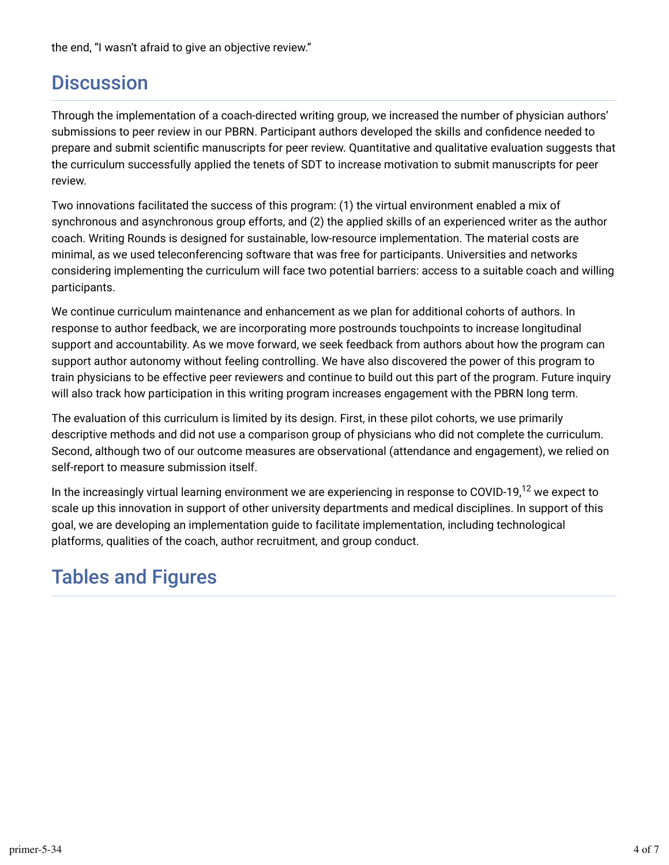## **Discussion**

Through the implementation of a coach-directed writing group, we increased the number of physician authors' submissions to peer review in our PBRN. Participant authors developed the skills and confidence needed to prepare and submit scientific manuscripts for peer review. Quantitative and qualitative evaluation suggests that the curriculum successfully applied the tenets of SDT to increase motivation to submit manuscripts for peer review.

Two innovations facilitated the success of this program: (1) the virtual environment enabled a mix of synchronous and asynchronous group efforts, and (2) the applied skills of an experienced writer as the author coach. Writing Rounds is designed for sustainable, low-resource implementation. The material costs are minimal, as we used teleconferencing software that was free for participants. Universities and networks considering implementing the curriculum will face two potential barriers: access to a suitable coach and willing participants.

We continue curriculum maintenance and enhancement as we plan for additional cohorts of authors. In response to author feedback, we are incorporating more postrounds touchpoints to increase longitudinal support and accountability. As we move forward, we seek feedback from authors about how the program can support author autonomy without feeling controlling. We have also discovered the power of this program to train physicians to be effective peer reviewers and continue to build out this part of the program. Future inquiry will also track how participation in this writing program increases engagement with the PBRN long term.

The evaluation of this curriculum is limited by its design. First, in these pilot cohorts, we use primarily descriptive methods and did not use a comparison group of physicians who did not complete the curriculum. Second, although two of our outcome measures are observational (attendance and engagement), we relied on self-report to measure submission itself.

In the increasingly virtual learning environment we are experiencing in response to COVID-19,<sup>12</sup> we expect to scale up this innovation in support of other university departments and medical disciplines. In support of this goal, we are developing an implementation guide to facilitate implementation, including technological platforms, qualities of the coach, author recruitment, and group conduct.

# Tables and Figures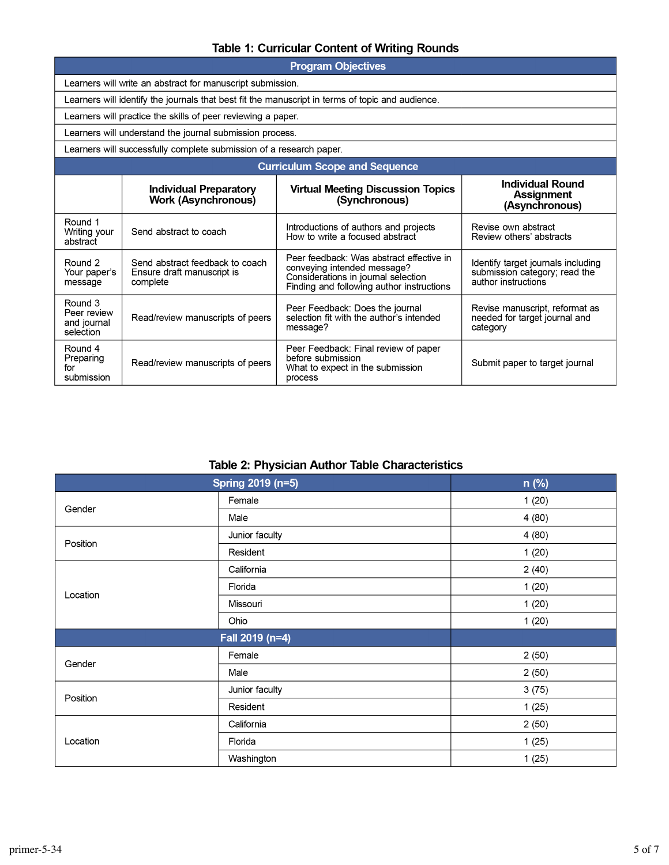#### Table 1: Curricular Content of Writing Rounds

| <b>Program Objectives</b>                                                                        |                                                                           |                                                                                                                                                             |                                                                                            |  |  |  |  |  |  |
|--------------------------------------------------------------------------------------------------|---------------------------------------------------------------------------|-------------------------------------------------------------------------------------------------------------------------------------------------------------|--------------------------------------------------------------------------------------------|--|--|--|--|--|--|
| Learners will write an abstract for manuscript submission.                                       |                                                                           |                                                                                                                                                             |                                                                                            |  |  |  |  |  |  |
| Learners will identify the journals that best fit the manuscript in terms of topic and audience. |                                                                           |                                                                                                                                                             |                                                                                            |  |  |  |  |  |  |
| Learners will practice the skills of peer reviewing a paper.                                     |                                                                           |                                                                                                                                                             |                                                                                            |  |  |  |  |  |  |
| Learners will understand the journal submission process.                                         |                                                                           |                                                                                                                                                             |                                                                                            |  |  |  |  |  |  |
| Learners will successfully complete submission of a research paper.                              |                                                                           |                                                                                                                                                             |                                                                                            |  |  |  |  |  |  |
| <b>Curriculum Scope and Sequence</b>                                                             |                                                                           |                                                                                                                                                             |                                                                                            |  |  |  |  |  |  |
|                                                                                                  | <b>Individual Preparatory</b><br><b>Work (Asynchronous)</b>               | <b>Virtual Meeting Discussion Topics</b><br>(Synchronous)                                                                                                   | <b>Individual Round</b><br>Assignment<br>(Asynchronous)                                    |  |  |  |  |  |  |
| Round 1<br>Writing your<br>abstract                                                              | Send abstract to coach                                                    | Introductions of authors and projects<br>How to write a focused abstract                                                                                    | Revise own abstract<br>Review others' abstracts                                            |  |  |  |  |  |  |
| Round 2<br>Your paper's<br>message                                                               | Send abstract feedback to coach<br>Ensure draft manuscript is<br>complete | Peer feedback: Was abstract effective in<br>conveying intended message?<br>Considerations in journal selection<br>Finding and following author instructions | Identify target journals including<br>submission category; read the<br>author instructions |  |  |  |  |  |  |
| Round 3<br>Peer review<br>and journal<br>selection                                               | Read/review manuscripts of peers                                          | Peer Feedback: Does the journal<br>selection fit with the author's intended<br>message?                                                                     | Revise manuscript, reformat as<br>needed for target journal and<br>category                |  |  |  |  |  |  |
| Round 4<br>Preparing<br>for<br>submission                                                        | Read/review manuscripts of peers                                          | Peer Feedback: Final review of paper<br>before submission<br>What to expect in the submission<br>process                                                    | Submit paper to target journal                                                             |  |  |  |  |  |  |

| Spring 2019 (n=5) |                | n (%) |  |  |
|-------------------|----------------|-------|--|--|
| Gender            | Female         | 1(20) |  |  |
|                   | Male           | 4(80) |  |  |
| Position          | Junior faculty | 4(80) |  |  |
|                   | Resident       | 1(20) |  |  |
|                   | California     | 2(40) |  |  |
| Location          | Florida        | 1(20) |  |  |
|                   | Missouri       | 1(20) |  |  |
|                   | Ohio           | 1(20) |  |  |
| Fall 2019 (n=4)   |                |       |  |  |
| Gender            | Female         | 2(50) |  |  |
|                   | Male           | 2(50) |  |  |
| Position          | Junior faculty | 3(75) |  |  |
|                   | Resident       | 1(25) |  |  |
|                   | California     | 2(50) |  |  |
| Location          | Florida        | 1(25) |  |  |
|                   | Washington     | 1(25) |  |  |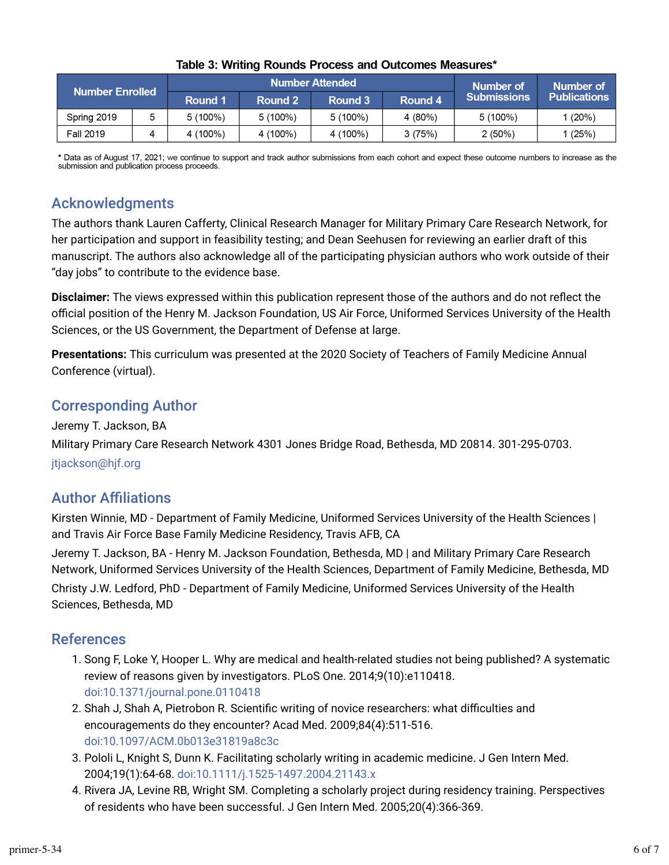| <b>Number Enrolled</b> |  | <b>Number Attended</b> |            |            |         | Number of          | Number of    |
|------------------------|--|------------------------|------------|------------|---------|--------------------|--------------|
|                        |  | Round 1                | Round 2    | Round 3    | Round 4 | <b>Submissions</b> | Publications |
| Spring 2019            |  | $5(100\%)$             | $5(100\%)$ | $5(100\%)$ | 4 (80%) | $5(100\%)$         | 1 (20%)      |
| <b>Fall 2019</b>       |  | 4 (100%)               | 4 (100%)   | 4 (100%)   | 3(75%)  | $2(50\%)$          | (25%)        |

#### Table 3: Writing Rounds Process and Outcomes Measures\*

\* Data as of August 17, 2021; we continue to support and track author submissions from each cohort and expect these outcome numbers to increase as the submission and publication process proceeds.

### Acknowledgments

The authors thank Lauren Cafferty, Clinical Research Manager for Military Primary Care Research Network, for her participation and support in feasibility testing; and Dean Seehusen for reviewing an earlier draft of this manuscript. The authors also acknowledge all of the participating physician authors who work outside of their "day jobs" to contribute to the evidence base.

**Disclaimer:** The views expressed within this publication represent those of the authors and do not reflect the official position of the Henry M. Jackson Foundation, US Air Force, Uniformed Services University of the Health Sciences, or the US Government, the Department of Defense at large.

**Presentations:** This curriculum was presented at the 2020 Society of Teachers of Family Medicine Annual Conference (virtual).

## Corresponding Author

Jeremy T. Jackson, BA

Military Primary Care Research Network 4301 Jones Bridge Road, Bethesda, MD 20814. 301-295-0703. [jtjackson@hjf.org](mailto:jtjackson@hjf.org)

## **Author Affiliations**

Kirsten Winnie, MD - Department of Family Medicine, Uniformed Services University of the Health Sciences | and Travis Air Force Base Family Medicine Residency, Travis AFB, CA

Jeremy T. Jackson, BA - Henry M. Jackson Foundation, Bethesda, MD | and Military Primary Care Research Network, Uniformed Services University of the Health Sciences, Department of Family Medicine, Bethesda, MD Christy J.W. Ledford, PhD - Department of Family Medicine, Uniformed Services University of the Health Sciences, Bethesda, MD

### References

- 1. Song F, Loke Y, Hooper L. Why are medical and health-related studies not being published? A systematic review of reasons given by investigators. PLoS One. 2014;9(10):e110418. [doi:10.1371/journal.pone.0110418](https://doi.org/10.1371/journal.pone.0110418)
- 2. Shah J, Shah A, Pietrobon R. Scientific writing of novice researchers: what difficulties and encouragements do they encounter? Acad Med. 2009;84(4):511-516. [doi:10.1097/ACM.0b013e31819a8c3c](https://doi.org/10.1097/ACM.0b013e31819a8c3c)
- 3. Pololi L, Knight S, Dunn K. Facilitating scholarly writing in academic medicine. J Gen Intern Med. 2004;19(1):64-68. [doi:10.1111/j.1525-1497.2004.21143.x](https://doi.org/10.1111/j.1525-1497.2004.21143.x)
- 4. Rivera JA, Levine RB, Wright SM. Completing a scholarly project during residency training. Perspectives of residents who have been successful. J Gen Intern Med. 2005;20(4):366-369.